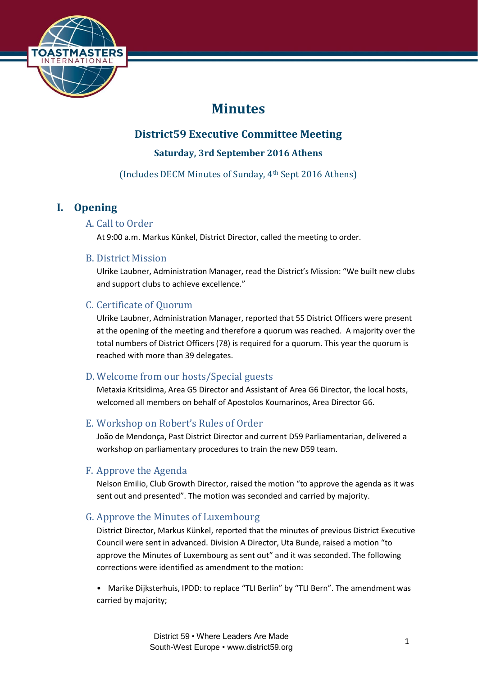

# **Minutes**

## **District59 Executive Committee Meeting**

**Saturday, 3rd September 2016 Athens**

(Includes DECM Minutes of Sunday, 4th Sept 2016 Athens)

## **I. Opening**

## A. Call to Order

At 9:00 a.m. Markus Künkel, District Director, called the meeting to order.

## B. District Mission

Ulrike Laubner, Administration Manager, read the District's Mission: "We built new clubs and support clubs to achieve excellence."

## C. Certificate of Quorum

Ulrike Laubner, Administration Manager, reported that 55 District Officers were present at the opening of the meeting and therefore a quorum was reached. A majority over the total numbers of District Officers (78) is required for a quorum. This year the quorum is reached with more than 39 delegates.

## D. Welcome from our hosts/Special guests

Metaxia Kritsidima, Area G5 Director and Assistant of Area G6 Director, the local hosts, welcomed all members on behalf of Apostolos Koumarinos, Area Director G6.

## E. Workshop on Robert's Rules of Order

João de Mendonça, Past District Director and current D59 Parliamentarian, delivered a workshop on parliamentary procedures to train the new D59 team.

## F. Approve the Agenda

Nelson Emilio, Club Growth Director, raised the motion "to approve the agenda as it was sent out and presented". The motion was seconded and carried by majority.

## G. Approve the Minutes of Luxembourg

District Director, Markus Künkel, reported that the minutes of previous District Executive Council were sent in advanced. Division A Director, Uta Bunde, raised a motion "to approve the Minutes of Luxembourg as sent out" and it was seconded. The following corrections were identified as amendment to the motion:

• Marike Dijksterhuis, IPDD: to replace "TLI Berlin" by "TLI Bern". The amendment was carried by majority;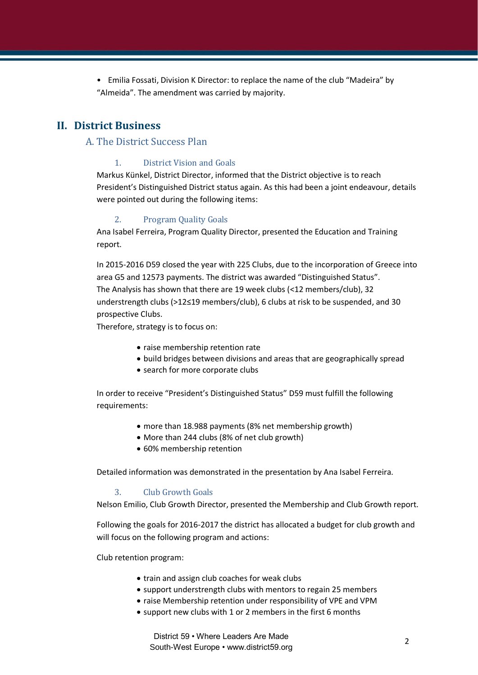• Emilia Fossati, Division K Director: to replace the name of the club "Madeira" by "Almeida". The amendment was carried by majority.

## **II. District Business**

## A. The District Success Plan

#### 1. District Vision and Goals

Markus Künkel, District Director, informed that the District objective is to reach President's Distinguished District status again. As this had been a joint endeavour, details were pointed out during the following items:

#### 2. Program Quality Goals

Ana Isabel Ferreira, Program Quality Director, presented the Education and Training report.

In 2015-2016 D59 closed the year with 225 Clubs, due to the incorporation of Greece into area G5 and 12573 payments. The district was awarded "Distinguished Status". The Analysis has shown that there are 19 week clubs (<12 members/club), 32 understrength clubs (>12≤19 members/club), 6 clubs at risk to be suspended, and 30 prospective Clubs.

Therefore, strategy is to focus on:

- raise membership retention rate
- build bridges between divisions and areas that are geographically spread
- search for more corporate clubs

In order to receive "President's Distinguished Status" D59 must fulfill the following requirements:

- more than 18.988 payments (8% net membership growth)
- More than 244 clubs (8% of net club growth)
- 60% membership retention

Detailed information was demonstrated in the presentation by Ana Isabel Ferreira.

#### 3. Club Growth Goals

Nelson Emilio, Club Growth Director, presented the Membership and Club Growth report.

Following the goals for 2016-2017 the district has allocated a budget for club growth and will focus on the following program and actions:

Club retention program:

- train and assign club coaches for weak clubs
- support understrength clubs with mentors to regain 25 members
- raise Membership retention under responsibility of VPE and VPM
- support new clubs with 1 or 2 members in the first 6 months

District 59 • Where Leaders Are Made South-West Europe • www.district59.org <sup>2</sup>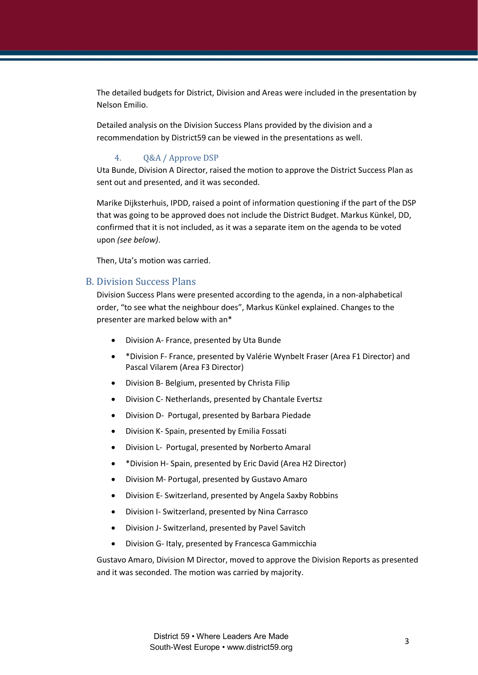The detailed budgets for District, Division and Areas were included in the presentation by Nelson Emilio.

Detailed analysis on the Division Success Plans provided by the division and a recommendation by District59 can be viewed in the presentations as well.

#### 4. Q&A / Approve DSP

Uta Bunde, Division A Director, raised the motion to approve the District Success Plan as sent out and presented, and it was seconded.

Marike Dijksterhuis, IPDD, raised a point of information questioning if the part of the DSP that was going to be approved does not include the District Budget. Markus Künkel, DD, confirmed that it is not included, as it was a separate item on the agenda to be voted upon *(see below)*.

Then, Uta's motion was carried.

#### B. Division Success Plans

Division Success Plans were presented according to the agenda, in a non-alphabetical order, "to see what the neighbour does", Markus Künkel explained. Changes to the presenter are marked below with an\*

- Division A- France, presented by Uta Bunde
- \*Division F- France, presented by Valérie Wynbelt Fraser (Area F1 Director) and Pascal Vilarem (Area F3 Director)
- Division B- Belgium, presented by Christa Filip
- Division C- Netherlands, presented by Chantale Evertsz
- Division D- Portugal, presented by Barbara Piedade
- Division K- Spain, presented by Emilia Fossati
- Division L- Portugal, presented by Norberto Amaral
- \*Division H- Spain, presented by Eric David (Area H2 Director)
- Division M- Portugal, presented by Gustavo Amaro
- Division E- Switzerland, presented by Angela Saxby Robbins
- Division I- Switzerland, presented by Nina Carrasco
- Division J- Switzerland, presented by Pavel Savitch
- Division G- Italy, presented by Francesca Gammicchia

Gustavo Amaro, Division M Director, moved to approve the Division Reports as presented and it was seconded. The motion was carried by majority.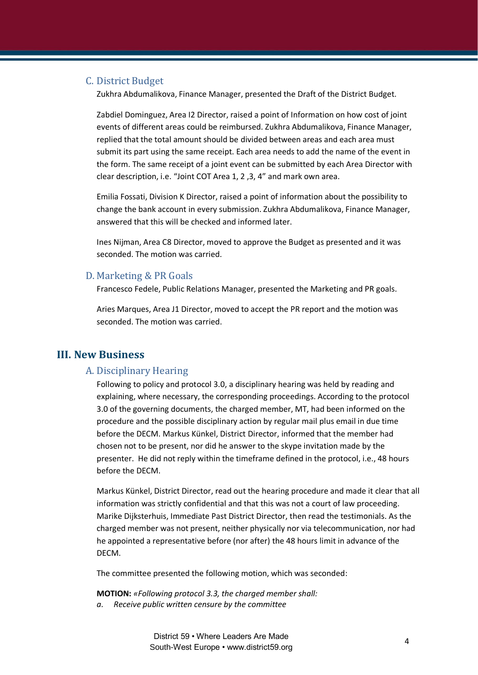#### C. District Budget

Zukhra Abdumalikova, Finance Manager, presented the Draft of the District Budget.

Zabdiel Dominguez, Area I2 Director, raised a point of Information on how cost of joint events of different areas could be reimbursed. Zukhra Abdumalikova, Finance Manager, replied that the total amount should be divided between areas and each area must submit its part using the same receipt. Each area needs to add the name of the event in the form. The same receipt of a joint event can be submitted by each Area Director with clear description, i.e. "Joint COT Area 1, 2 ,3, 4" and mark own area.

Emilia Fossati, Division K Director, raised a point of information about the possibility to change the bank account in every submission. Zukhra Abdumalikova, Finance Manager, answered that this will be checked and informed later.

Ines Nijman, Area C8 Director, moved to approve the Budget as presented and it was seconded. The motion was carried.

#### D. Marketing & PR Goals

Francesco Fedele, Public Relations Manager, presented the Marketing and PR goals.

Aries Marques, Area J1 Director, moved to accept the PR report and the motion was seconded. The motion was carried.

## **III. New Business**

#### A. Disciplinary Hearing

Following to policy and protocol 3.0, a disciplinary hearing was held by reading and explaining, where necessary, the corresponding proceedings. According to the protocol 3.0 of the governing documents, the charged member, MT, had been informed on the procedure and the possible disciplinary action by regular mail plus email in due time before the DECM. Markus Künkel, District Director, informed that the member had chosen not to be present, nor did he answer to the skype invitation made by the presenter. He did not reply within the timeframe defined in the protocol, i.e., 48 hours before the DECM.

Markus Künkel, District Director, read out the hearing procedure and made it clear that all information was strictly confidential and that this was not a court of law proceeding. Marike Dijksterhuis, Immediate Past District Director, then read the testimonials. As the charged member was not present, neither physically nor via telecommunication, nor had he appointed a representative before (nor after) the 48 hours limit in advance of the DECM.

The committee presented the following motion, which was seconded:

**MOTION:** *«Following protocol 3.3, the charged member shall: a. Receive public written censure by the committee*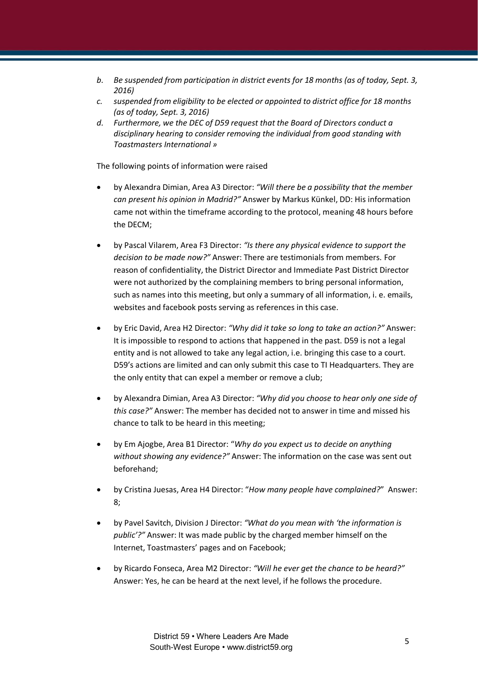- *b. Be suspended from participation in district events for 18 months (as of today, Sept. 3, 2016)*
- *c. suspended from eligibility to be elected or appointed to district office for 18 months (as of today, Sept. 3, 2016)*
- *d. Furthermore, we the DEC of D59 request that the Board of Directors conduct a disciplinary hearing to consider removing the individual from good standing with Toastmasters International »*

The following points of information were raised

- by Alexandra Dimian, Area A3 Director: *"Will there be a possibility that the member can present his opinion in Madrid?"* Answer by Markus Künkel, DD: His information came not within the timeframe according to the protocol, meaning 48 hours before the DECM;
- by Pascal Vilarem, Area F3 Director: *"Is there any physical evidence to support the decision to be made now?"* Answer: There are testimonials from members. For reason of confidentiality, the District Director and Immediate Past District Director were not authorized by the complaining members to bring personal information, such as names into this meeting, but only a summary of all information, i. e. emails, websites and facebook posts serving as references in this case.
- by Eric David, Area H2 Director: *"Why did it take so long to take an action?"* Answer: It is impossible to respond to actions that happened in the past. D59 is not a legal entity and is not allowed to take any legal action, i.e. bringing this case to a court. D59's actions are limited and can only submit this case to TI Headquarters. They are the only entity that can expel a member or remove a club;
- by Alexandra Dimian, Area A3 Director: *"Why did you choose to hear only one side of this case?"* Answer: The member has decided not to answer in time and missed his chance to talk to be heard in this meeting;
- by Em Ajogbe, Area B1 Director: "*Why do you expect us to decide on anything without showing any evidence?"* Answer: The information on the case was sent out beforehand;
- by Cristina Juesas, Area H4 Director: "*How many people have complained?*" Answer: 8;
- by Pavel Savitch, Division J Director: *"What do you mean with 'the information is public'?"* Answer: It was made public by the charged member himself on the Internet, Toastmasters' pages and on Facebook;
- by Ricardo Fonseca, Area M2 Director: *"Will he ever get the chance to be heard?"* Answer: Yes, he can be heard at the next level, if he follows the procedure.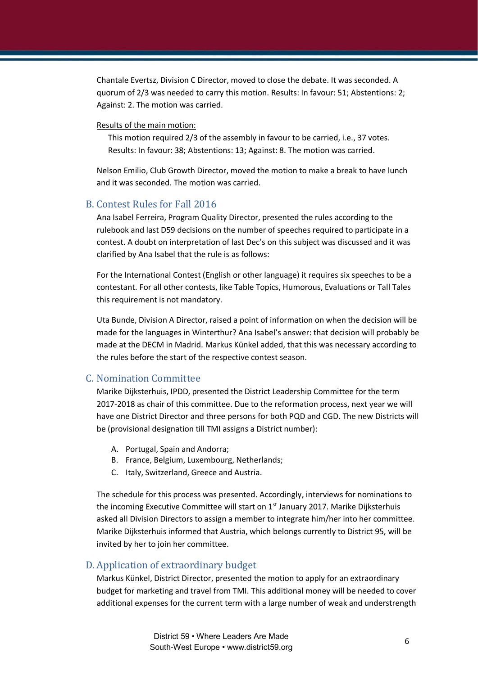Chantale Evertsz, Division C Director, moved to close the debate. It was seconded. A quorum of 2/3 was needed to carry this motion. Results: In favour: 51; Abstentions: 2; Against: 2. The motion was carried.

#### Results of the main motion:

This motion required 2/3 of the assembly in favour to be carried, i.e., 37 votes. Results: In favour: 38; Abstentions: 13; Against: 8. The motion was carried.

Nelson Emilio, Club Growth Director, moved the motion to make a break to have lunch and it was seconded. The motion was carried.

#### B. Contest Rules for Fall 2016

Ana Isabel Ferreira, Program Quality Director, presented the rules according to the rulebook and last D59 decisions on the number of speeches required to participate in a contest. A doubt on interpretation of last Dec's on this subject was discussed and it was clarified by Ana Isabel that the rule is as follows:

For the International Contest (English or other language) it requires six speeches to be a contestant. For all other contests, like Table Topics, Humorous, Evaluations or Tall Tales this requirement is not mandatory.

Uta Bunde, Division A Director, raised a point of information on when the decision will be made for the languages in Winterthur? Ana Isabel's answer: that decision will probably be made at the DECM in Madrid. Markus Künkel added, that this was necessary according to the rules before the start of the respective contest season.

#### C. Nomination Committee

Marike Dijksterhuis, IPDD, presented the District Leadership Committee for the term 2017-2018 as chair of this committee. Due to the reformation process, next year we will have one District Director and three persons for both PQD and CGD. The new Districts will be (provisional designation till TMI assigns a District number):

- A. Portugal, Spain and Andorra;
- B. France, Belgium, Luxembourg, Netherlands;
- C. Italy, Switzerland, Greece and Austria.

The schedule for this process was presented. Accordingly, interviews for nominations to the incoming Executive Committee will start on  $1<sup>st</sup>$  January 2017. Marike Dijksterhuis asked all Division Directors to assign a member to integrate him/her into her committee. Marike Dijksterhuis informed that Austria, which belongs currently to District 95, will be invited by her to join her committee.

#### D. Application of extraordinary budget

Markus Künkel, District Director, presented the motion to apply for an extraordinary budget for marketing and travel from TMI. This additional money will be needed to cover additional expenses for the current term with a large number of weak and understrength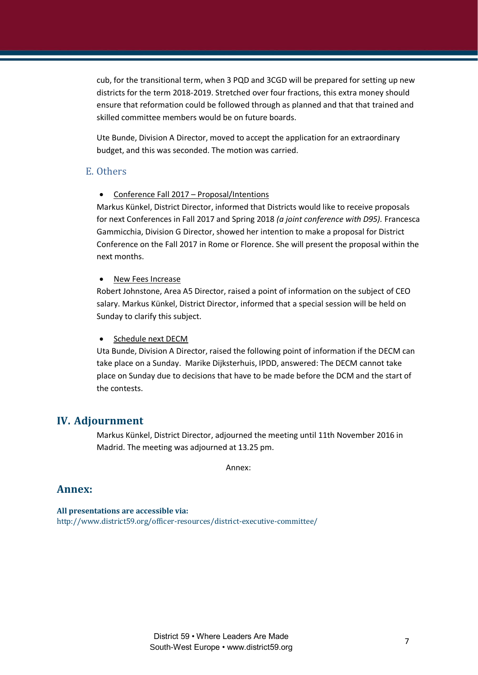cub, for the transitional term, when 3 PQD and 3CGD will be prepared for setting up new districts for the term 2018-2019. Stretched over four fractions, this extra money should ensure that reformation could be followed through as planned and that that trained and skilled committee members would be on future boards.

Ute Bunde, Division A Director, moved to accept the application for an extraordinary budget, and this was seconded. The motion was carried.

#### E. Others

• Conference Fall 2017 – Proposal/Intentions

Markus Künkel, District Director, informed that Districts would like to receive proposals for next Conferences in Fall 2017 and Spring 2018 *(a joint conference with D95).* Francesca Gammicchia, Division G Director, showed her intention to make a proposal for District Conference on the Fall 2017 in Rome or Florence. She will present the proposal within the next months.

New Fees Increase

Robert Johnstone, Area A5 Director, raised a point of information on the subject of CEO salary. Markus Künkel, District Director, informed that a special session will be held on Sunday to clarify this subject.

#### • Schedule next DECM

Uta Bunde, Division A Director, raised the following point of information if the DECM can take place on a Sunday. Marike Dijksterhuis, IPDD, answered: The DECM cannot take place on Sunday due to decisions that have to be made before the DCM and the start of the contests.

## **IV. Adjournment**

Markus Künkel, District Director, adjourned the meeting until 11th November 2016 in Madrid. The meeting was adjourned at 13.25 pm.

Annex:

## **Annex:**

**All presentations are accessible via:** http://www.district59.org/officer-resources/district-executive-committee/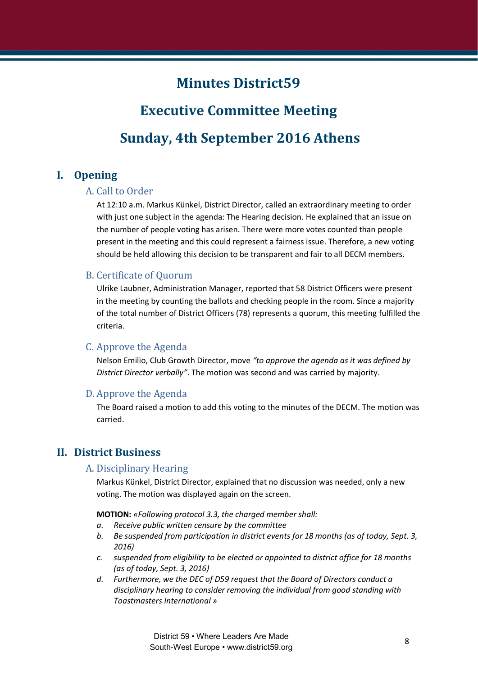## **Minutes District59**

# **Executive Committee Meeting Sunday, 4th September 2016 Athens**

## **I. Opening**

## A. Call to Order

At 12:10 a.m. Markus Künkel, District Director, called an extraordinary meeting to order with just one subject in the agenda: The Hearing decision. He explained that an issue on the number of people voting has arisen. There were more votes counted than people present in the meeting and this could represent a fairness issue. Therefore, a new voting should be held allowing this decision to be transparent and fair to all DECM members.

#### B. Certificate of Quorum

Ulrike Laubner, Administration Manager, reported that 58 District Officers were present in the meeting by counting the ballots and checking people in the room. Since a majority of the total number of District Officers (78) represents a quorum, this meeting fulfilled the criteria.

#### C. Approve the Agenda

Nelson Emilio, Club Growth Director, move *"to approve the agenda as it was defined by District Director verbally"*. The motion was second and was carried by majority.

#### D. Approve the Agenda

The Board raised a motion to add this voting to the minutes of the DECM. The motion was carried.

## **II. District Business**

## A. Disciplinary Hearing

Markus Künkel, District Director, explained that no discussion was needed, only a new voting. The motion was displayed again on the screen.

**MOTION:** *«Following protocol 3.3, the charged member shall:*

- *a. Receive public written censure by the committee*
- *b. Be suspended from participation in district events for 18 months (as of today, Sept. 3, 2016)*
- *c. suspended from eligibility to be elected or appointed to district office for 18 months (as of today, Sept. 3, 2016)*
- *d. Furthermore, we the DEC of D59 request that the Board of Directors conduct a disciplinary hearing to consider removing the individual from good standing with Toastmasters International »*